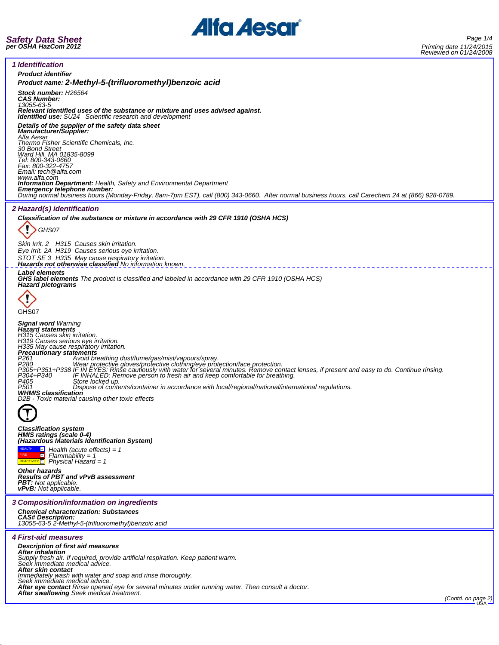

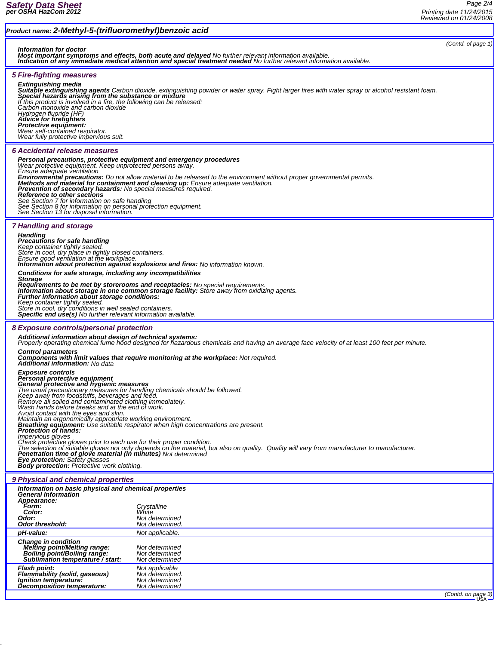## *Product name: 2-Methyl-5-(trifluoromethyl)benzoic acid (Contd. of page 1) Information for doctor Most important symptoms and effects, both acute and delayed No further relevant information available. Indication of any immediate medical attention and special treatment needed No further relevant information available. 5 Fire-fighting measures* **Extinguishing media**<br>**Suitable extinguishing agents** Carbon dioxide, extinguishing powder or water spray. Fight larger fires with water spray or alcohol resistant foam.<br>**Special hazards arising from the substance or mixtu** *If this product is involved in a fire, the following can be released: Carbon monoxide and carbon dioxide Hydrogen fluoride (HF) Advice for firefighters Protective equipment: Wear self-contained respirator. Wear fully protective impervious suit. 6 Accidental release measures Personal precautions, protective equipment and emergency procedures Wear protective equipment. Keep unprotected persons away. Ensure adequate ventilation* **Environmental precautions:** Do not allow material to be released to the environment without proper governmental permits.<br>Methods and material for containment and cleaning up: Ensure adequate ventilation. *See Section 7 for information on safe handling See Section 8 for information on personal protection equipment. See Section 13 for disposal information. 7 Handling and storage Handling Precautions for safe handling* Keep container tightly sealed. ¯<br>Store in cool, dry place in tightly closed containers.<br>Ensure good ventilation at the workplace.<br>**Information about protection against explosions and fires:** No information known. *Conditions for safe storage, including any incompatibilities* Storage<br>Requirements to be met by storerooms and receptacles: No special requirements.<br>Information about storage in one common storage facility: Store away from oxidizing agents.<br>Further information about storage condition *Keep container tightly sealed. Store in cool, dry conditions in well sealed containers. Specific end use(s) No further relevant information available. 8 Exposure controls/personal protection Additional information about design of technical systems: Properly operating chemical fume hood designed for hazardous chemicals and having an average face velocity of at least 100 feet per minute.* Control parameters<br>Components with limit values that require monitoring at the workplace: Not required.<br>Additional information: No data *Exposure controls* Personal protective equipment<br>General protective and hygienic measures<br>The usual precautionary measures for handling chemicals should be followed.<br>Keep away from foodstuffs, beverages and feed.<br>Remove all soiled and contam Check protective gloves prior to each use for their proper condition.<br>The selection of suitable gloves not only depends on the material, but also on quality. Quality will vary from manufacturer to manufacturer.<br>**Penetratio** *9 Physical and chemical properties Information on basic physical and chemical properties General Information Appearance: Form: Crystalline Color: White Odor: Not determined* **Odor threshold:** *pH-value: Not applicable. Change in condition Melting point/Melting range: Not determined Boiling point/Boiling range: Not determined Sublimation temperature / start: Not determined Flash point: Not applicable Flammability (solid, gaseous) Not determined. Ignition temperature: Not determined Decomposition temperature: Not determined*

*(Contd. on page 3)*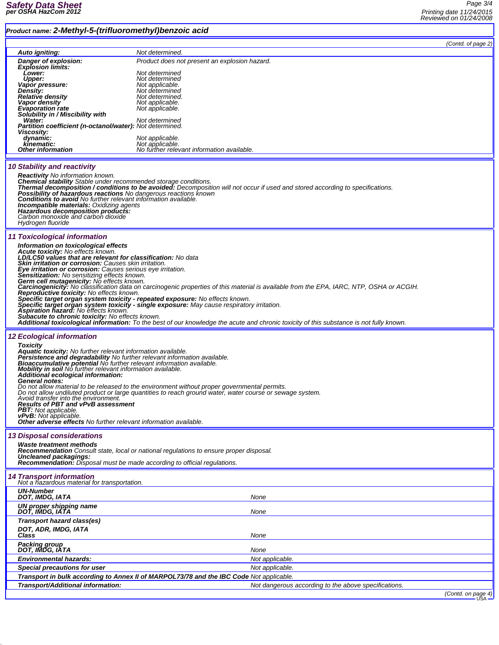## *Product name: 2-Methyl-5-(trifluoromethyl)benzoic acid*

|                       | $\cdots$ = $\cdots$ $\cdots$ $\cdots$ $\cdots$ $\cdots$ $\cdots$ $\cdots$                                                                                                                                                                                                                                                                             |                                                                                                                                          |                    |  |
|-----------------------|-------------------------------------------------------------------------------------------------------------------------------------------------------------------------------------------------------------------------------------------------------------------------------------------------------------------------------------------------------|------------------------------------------------------------------------------------------------------------------------------------------|--------------------|--|
|                       |                                                                                                                                                                                                                                                                                                                                                       |                                                                                                                                          | (Contd. of page 2) |  |
|                       | Auto igniting:<br>Danger of explosion:                                                                                                                                                                                                                                                                                                                | Not determined.<br>Product does not present an explosion hazard.                                                                         |                    |  |
|                       | <b>Explosion limits:</b>                                                                                                                                                                                                                                                                                                                              |                                                                                                                                          |                    |  |
|                       | Lower:<br>Upper:                                                                                                                                                                                                                                                                                                                                      | Not determined<br>Not determined                                                                                                         |                    |  |
|                       | Vapor pressure:                                                                                                                                                                                                                                                                                                                                       | Not applicable.                                                                                                                          |                    |  |
|                       | Density:<br><b>Relative density</b>                                                                                                                                                                                                                                                                                                                   | Not determined<br>Not determined.                                                                                                        |                    |  |
|                       | Vapor density                                                                                                                                                                                                                                                                                                                                         | Not applicable.                                                                                                                          |                    |  |
|                       | <b>Evaporation rate</b><br>Solubility in / Miscibility with                                                                                                                                                                                                                                                                                           | Not applicable.                                                                                                                          |                    |  |
|                       | Water:                                                                                                                                                                                                                                                                                                                                                | Not determined                                                                                                                           |                    |  |
|                       | Partition coefficient (n-octanol/water): Not determined.<br><b>Viscosity:</b>                                                                                                                                                                                                                                                                         |                                                                                                                                          |                    |  |
|                       | dynamic:                                                                                                                                                                                                                                                                                                                                              | Not applicable.                                                                                                                          |                    |  |
|                       | kinematic:<br><b>Other information</b>                                                                                                                                                                                                                                                                                                                | Not applicable.<br>No further relevant information available.                                                                            |                    |  |
|                       |                                                                                                                                                                                                                                                                                                                                                       |                                                                                                                                          |                    |  |
|                       | <b>10 Stability and reactivity</b>                                                                                                                                                                                                                                                                                                                    |                                                                                                                                          |                    |  |
|                       | <b>Reactivity</b> No information known.                                                                                                                                                                                                                                                                                                               |                                                                                                                                          |                    |  |
|                       | <b>Chemical stability</b> Stable under recommended storage conditions.                                                                                                                                                                                                                                                                                | Thermal decomposition / conditions to be avoided: Decomposition will not occur if used and stored according to specifications.           |                    |  |
|                       | <b>Possibility of hazardous reactions</b> No dangerous reactions known                                                                                                                                                                                                                                                                                |                                                                                                                                          |                    |  |
|                       | <b>Conditions to avoid</b> No further relevant information available.<br>Incompatible materials: Oxidizing agents                                                                                                                                                                                                                                     |                                                                                                                                          |                    |  |
|                       | Hazardous decomposition products:                                                                                                                                                                                                                                                                                                                     |                                                                                                                                          |                    |  |
|                       | Carbon monoxide and carbon dioxide<br>Hydrogen fluoride                                                                                                                                                                                                                                                                                               |                                                                                                                                          |                    |  |
|                       |                                                                                                                                                                                                                                                                                                                                                       |                                                                                                                                          |                    |  |
|                       | 11 Toxicological information                                                                                                                                                                                                                                                                                                                          |                                                                                                                                          |                    |  |
|                       | Information on toxicological effects<br><b>Acute toxicity:</b> No effects known.<br>LD/LC50 values that are relevant for classification: No data                                                                                                                                                                                                      |                                                                                                                                          |                    |  |
|                       |                                                                                                                                                                                                                                                                                                                                                       |                                                                                                                                          |                    |  |
|                       | Skin irritation or corrosion: Causes skin irritation.                                                                                                                                                                                                                                                                                                 |                                                                                                                                          |                    |  |
|                       | Eye irritation or corrosion: Causes serious eye irritation.<br><b>Sensitization:</b> No sensitizing effects known.                                                                                                                                                                                                                                    |                                                                                                                                          |                    |  |
|                       | Germ cell mutagenicity: No effects known.                                                                                                                                                                                                                                                                                                             |                                                                                                                                          |                    |  |
|                       | <b>Reproductive toxicity:</b> No effects known.                                                                                                                                                                                                                                                                                                       | Carcinogenicity: No classification data on carcinogenic properties of this material is available from the EPA, IARC, NTP, OSHA or ACGIH. |                    |  |
|                       | Specific target organ system toxicity - repeated exposure: No effects known.                                                                                                                                                                                                                                                                          | Specific target organ system toxicity - single exposure: May cause respiratory irritation.                                               |                    |  |
|                       | Aspiration hazard: No effects known.                                                                                                                                                                                                                                                                                                                  |                                                                                                                                          |                    |  |
|                       | Subacute to chronic toxicity: No effects known.                                                                                                                                                                                                                                                                                                       | Additional toxicological information: To the best of our knowledge the acute and chronic toxicity of this substance is not fully known.  |                    |  |
|                       |                                                                                                                                                                                                                                                                                                                                                       |                                                                                                                                          |                    |  |
|                       | <b>12 Ecological information</b>                                                                                                                                                                                                                                                                                                                      |                                                                                                                                          |                    |  |
|                       | <b>Toxicity</b>                                                                                                                                                                                                                                                                                                                                       |                                                                                                                                          |                    |  |
|                       | <b>Aquatic toxicity:</b> No further relevant information available.<br>Persistence and degradability No further relevant information available.<br>Bioaccumulative potential No further relevant information available.<br>Mobility in soil No further relevant information available.<br>Additional ecological information:<br><b>General notes:</b> |                                                                                                                                          |                    |  |
|                       |                                                                                                                                                                                                                                                                                                                                                       |                                                                                                                                          |                    |  |
|                       |                                                                                                                                                                                                                                                                                                                                                       |                                                                                                                                          |                    |  |
|                       |                                                                                                                                                                                                                                                                                                                                                       |                                                                                                                                          |                    |  |
|                       | Do not allow material to be released to the environment without proper governmental permits.<br>Do not allow undiluted product or large quantities to reach ground water, water course or sewage system.<br>Avoid transfer into the environment.<br><b>Results of PBT and vPvB assessment</b>                                                         |                                                                                                                                          |                    |  |
|                       |                                                                                                                                                                                                                                                                                                                                                       |                                                                                                                                          |                    |  |
|                       | <b>PBT:</b> Not applicable.                                                                                                                                                                                                                                                                                                                           |                                                                                                                                          |                    |  |
|                       | vPvB: Not applicable.<br><b>Other adverse effects</b> No further relevant information available.                                                                                                                                                                                                                                                      |                                                                                                                                          |                    |  |
|                       |                                                                                                                                                                                                                                                                                                                                                       |                                                                                                                                          |                    |  |
|                       | <b>13 Disposal considerations</b><br>Waste treatment methods<br>Recommendation Consult state, local or national requlations to ensure proper disposal.                                                                                                                                                                                                |                                                                                                                                          |                    |  |
|                       |                                                                                                                                                                                                                                                                                                                                                       |                                                                                                                                          |                    |  |
| Uncleaned packagings: |                                                                                                                                                                                                                                                                                                                                                       |                                                                                                                                          |                    |  |
|                       |                                                                                                                                                                                                                                                                                                                                                       | <b>Recommendation:</b> Disposal must be made according to official regulations.                                                          |                    |  |
|                       | <b>14 Transport information</b>                                                                                                                                                                                                                                                                                                                       |                                                                                                                                          |                    |  |
|                       | Not a hazardous material for transportation.                                                                                                                                                                                                                                                                                                          |                                                                                                                                          |                    |  |
|                       | <b>UN-Number</b><br>DOT, IMDG, IATA                                                                                                                                                                                                                                                                                                                   | None                                                                                                                                     |                    |  |
|                       | <b>UN proper shipping name</b>                                                                                                                                                                                                                                                                                                                        |                                                                                                                                          |                    |  |
|                       | DOT, IMDG, IATA                                                                                                                                                                                                                                                                                                                                       | None                                                                                                                                     |                    |  |
|                       | Transport hazard class(es)                                                                                                                                                                                                                                                                                                                            |                                                                                                                                          |                    |  |
|                       | DOT, ADR, IMDG, IATA                                                                                                                                                                                                                                                                                                                                  |                                                                                                                                          |                    |  |
|                       | Class                                                                                                                                                                                                                                                                                                                                                 | None                                                                                                                                     |                    |  |
|                       | <b>Packing group</b><br>DOT, IMDG, IATA                                                                                                                                                                                                                                                                                                               | None                                                                                                                                     |                    |  |
|                       | <b>Environmental hazards:</b>                                                                                                                                                                                                                                                                                                                         | Not applicable.                                                                                                                          |                    |  |
|                       | Not applicable.<br><b>Special precautions for user</b>                                                                                                                                                                                                                                                                                                |                                                                                                                                          |                    |  |
|                       | Transport in bulk according to Annex II of MARPOL73/78 and the IBC Code Not applicable.                                                                                                                                                                                                                                                               |                                                                                                                                          |                    |  |
|                       | Transport/Additional information:                                                                                                                                                                                                                                                                                                                     | Not dangerous according to the above specifications.                                                                                     |                    |  |
|                       |                                                                                                                                                                                                                                                                                                                                                       |                                                                                                                                          | (Contd. on page 4) |  |
|                       |                                                                                                                                                                                                                                                                                                                                                       |                                                                                                                                          |                    |  |